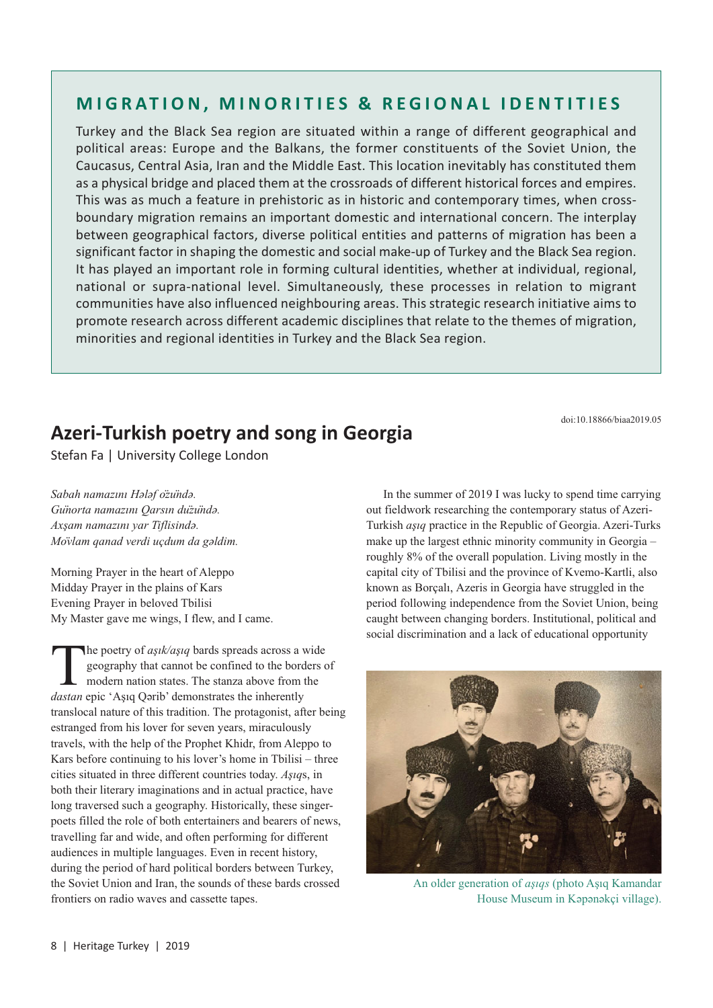## **MIGRATION, MINORITIES & REGIONAL IDENTITIES**

Turkey and the Black Sea region are situated within a range of different geographical and political areas: Europe and the Balkans, the former constituents of the Soviet Union, the Caucasus, Central Asia, Iran and the Middle East. This location inevitably has constituted them as a physical bridge and placed them at the crossroads of different historical forces and empires. This was as much a feature in prehistoric as in historic and contemporary times, when crossboundary migration remains an important domestic and international concern. The interplay between geographical factors, diverse political entities and patterns of migration has been a significant factor in shaping the domestic and social make-up of Turkey and the Black Sea region. It has played an important role in forming cultural identities, whether at individual, regional, national or supra-national level. Simultaneously, these processes in relation to migrant communities have also influenced neighbouring areas. This strategic research initiative aims to promote research across different academic disciplines that relate to the themes of migration, minorities and regional identities in Turkey and the Black Sea region.

doi:10.18866/biaa2019.05

## **Azeri-Turkish poetry and song in Georgia**

Stefan Fa | University College London

*Sabah namazını Hәlәf özündә. Günorta namazını Qarsın düzündә. Axşam namazını yar Tiflisindә. Mövlam qanad verdi uçdum da gәldim.* 

Morning Prayer in the heart of Aleppo Midday Prayer in the plains of Kars Evening Prayer in beloved Tbilisi My Master gave me wings, I flew, and I came.

The poetry of *aşık/aşıq* bards spreads across a wide<br>geography that cannot be confined to the borders<br>modern nation states. The stanza above from the<br>*dastan* enjc 'Asiq Oərib' demonstrates the inherently geography that cannot be confined to the borders of modern nation states. The stanza above from the *dastan* epic 'Aşıq Qәrib' demonstrates the inherently translocal nature of this tradition. The protagonist, after being estranged from his lover for seven years, miraculously travels, with the help of the Prophet Khidr, from Aleppo to Kars before continuing to his lover's home in Tbilisi – three cities situated in three different countries today. *Aşıq*s, in both their literary imaginations and in actual practice, have long traversed such a geography. Historically, these singerpoets filled the role of both entertainers and bearers of news, travelling far and wide, and often performing for different audiences in multiple languages. Even in recent history, during the period of hard political borders between Turkey, the Soviet Union and Iran, the sounds of these bards crossed frontiers on radio waves and cassette tapes.

In the summer of 2019 I was lucky to spend time carrying out fieldwork researching the contemporary status of Azeri-Turkish *aşıq* practice in the Republic of Georgia. Azeri-Turks make up the largest ethnic minority community in Georgia – roughly 8% of the overall population. Living mostly in the capital city of Tbilisi and the province of Kvemo-Kartli, also known as Borçalı, Azeris in Georgia have struggled in the period following independence from the Soviet Union, being caught between changing borders. Institutional, political and social discrimination and a lack of educational opportunity



An older generation of *aşıqs* (photo Aşıq Kamandar House Museum in Kәpәnәkçi village).